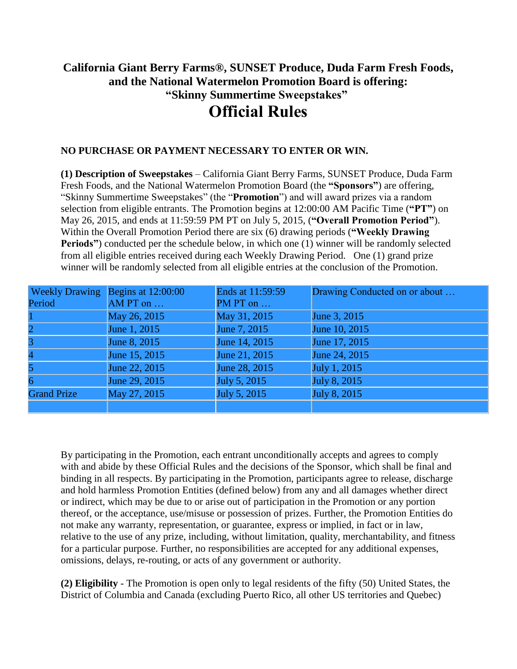## **California Giant Berry Farms®, SUNSET Produce, Duda Farm Fresh Foods, and the National Watermelon Promotion Board is offering: "Skinny Summertime Sweepstakes" Official Rules**

## **NO PURCHASE OR PAYMENT NECESSARY TO ENTER OR WIN.**

**(1) Description of Sweepstakes** – California Giant Berry Farms, SUNSET Produce, Duda Farm Fresh Foods, and the National Watermelon Promotion Board (the **"Sponsors"**) are offering, "Skinny Summertime Sweepstakes" (the "**Promotion**") and will award prizes via a random selection from eligible entrants. The Promotion begins at 12:00:00 AM Pacific Time (**"PT"**) on May 26, 2015, and ends at 11:59:59 PM PT on July 5, 2015, (**"Overall Promotion Period"**). Within the Overall Promotion Period there are six (6) drawing periods (**"Weekly Drawing Periods"**) conducted per the schedule below, in which one (1) winner will be randomly selected from all eligible entries received during each Weekly Drawing Period. One (1) grand prize winner will be randomly selected from all eligible entries at the conclusion of the Promotion.

| <b>Weekly Drawing</b> | Begins at 12:00:00 | Ends at 11:59:59 | Drawing Conducted on or about |
|-----------------------|--------------------|------------------|-------------------------------|
| Period                | AM PT on $\dots$   | PM PT on $\dots$ |                               |
|                       | May 26, 2015       | May 31, 2015     | June 3, 2015                  |
|                       | June 1, 2015       | June 7, 2015     | June 10, 2015                 |
|                       | June 8, 2015       | June 14, 2015    | June 17, 2015                 |
|                       | June 15, 2015      | June 21, 2015    | June 24, 2015                 |
|                       | June 22, 2015      | June 28, 2015    | July 1, 2015                  |
| 6                     | June 29, 2015      | July 5, 2015     | July 8, 2015                  |
| <b>Grand Prize</b>    | May 27, 2015       | July 5, 2015     | July 8, 2015                  |
|                       |                    |                  |                               |

By participating in the Promotion, each entrant unconditionally accepts and agrees to comply with and abide by these Official Rules and the decisions of the Sponsor, which shall be final and binding in all respects. By participating in the Promotion, participants agree to release, discharge and hold harmless Promotion Entities (defined below) from any and all damages whether direct or indirect, which may be due to or arise out of participation in the Promotion or any portion thereof, or the acceptance, use/misuse or possession of prizes. Further, the Promotion Entities do not make any warranty, representation, or guarantee, express or implied, in fact or in law, relative to the use of any prize, including, without limitation, quality, merchantability, and fitness for a particular purpose. Further, no responsibilities are accepted for any additional expenses, omissions, delays, re-routing, or acts of any government or authority.

**(2) Eligibility** - The Promotion is open only to legal residents of the fifty (50) United States, the District of Columbia and Canada (excluding Puerto Rico, all other US territories and Quebec)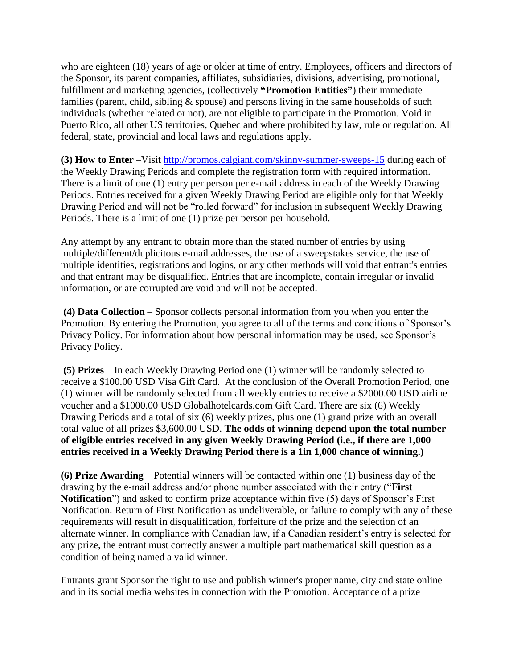who are eighteen (18) years of age or older at time of entry. Employees, officers and directors of the Sponsor, its parent companies, affiliates, subsidiaries, divisions, advertising, promotional, fulfillment and marketing agencies, (collectively **"Promotion Entities"**) their immediate families (parent, child, sibling & spouse) and persons living in the same households of such individuals (whether related or not), are not eligible to participate in the Promotion. Void in Puerto Rico, all other US territories, Quebec and where prohibited by law, rule or regulation. All federal, state, provincial and local laws and regulations apply.

**(3) How to Enter** –Visit<http://promos.calgiant.com/skinny-summer-sweeps-15> during each of the Weekly Drawing Periods and complete the registration form with required information. There is a limit of one (1) entry per person per e-mail address in each of the Weekly Drawing Periods. Entries received for a given Weekly Drawing Period are eligible only for that Weekly Drawing Period and will not be "rolled forward" for inclusion in subsequent Weekly Drawing Periods. There is a limit of one (1) prize per person per household.

Any attempt by any entrant to obtain more than the stated number of entries by using multiple/different/duplicitous e-mail addresses, the use of a sweepstakes service, the use of multiple identities, registrations and logins, or any other methods will void that entrant's entries and that entrant may be disqualified. Entries that are incomplete, contain irregular or invalid information, or are corrupted are void and will not be accepted.

**(4) Data Collection** – Sponsor collects personal information from you when you enter the Promotion. By entering the Promotion, you agree to all of the terms and conditions of Sponsor's Privacy Policy. For information about how personal information may be used, see Sponsor's Privacy Policy.

**(5) Prizes** – In each Weekly Drawing Period one (1) winner will be randomly selected to receive a \$100.00 USD Visa Gift Card. At the conclusion of the Overall Promotion Period, one (1) winner will be randomly selected from all weekly entries to receive a \$2000.00 USD airline voucher and a \$1000.00 USD Globalhotelcards.com Gift Card. There are six (6) Weekly Drawing Periods and a total of six (6) weekly prizes, plus one (1) grand prize with an overall total value of all prizes \$3,600.00 USD. **The odds of winning depend upon the total number of eligible entries received in any given Weekly Drawing Period (i.e., if there are 1,000 entries received in a Weekly Drawing Period there is a 1in 1,000 chance of winning.)**

**(6) Prize Awarding** – Potential winners will be contacted within one (1) business day of the drawing by the e-mail address and/or phone number associated with their entry ("**First Notification**") and asked to confirm prize acceptance within five (5) days of Sponsor's First Notification. Return of First Notification as undeliverable, or failure to comply with any of these requirements will result in disqualification, forfeiture of the prize and the selection of an alternate winner. In compliance with Canadian law, if a Canadian resident's entry is selected for any prize, the entrant must correctly answer a multiple part mathematical skill question as a condition of being named a valid winner.

Entrants grant Sponsor the right to use and publish winner's proper name, city and state online and in its social media websites in connection with the Promotion. Acceptance of a prize